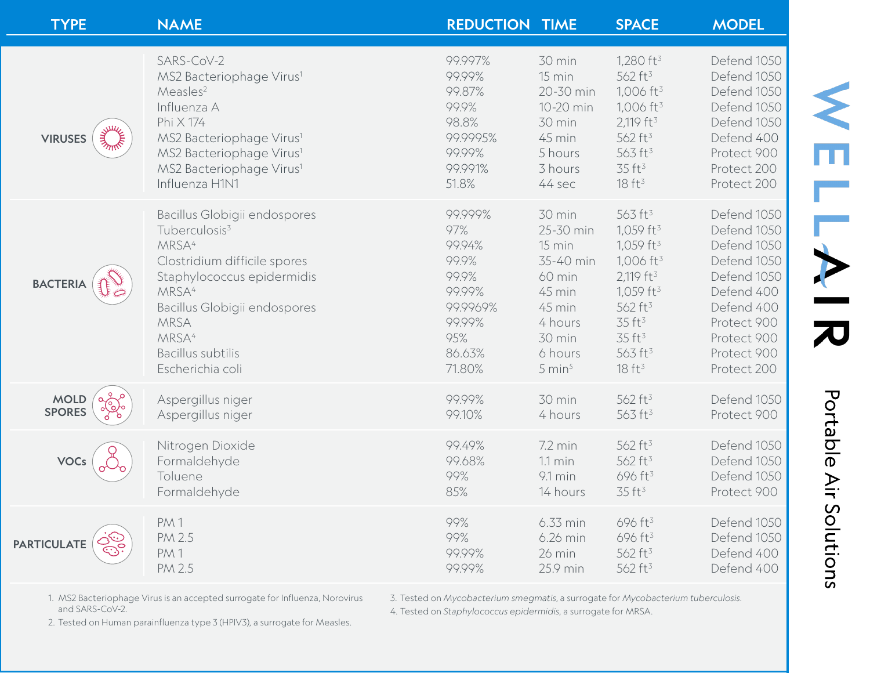| <b>TYPE</b>                    | <b>NAME</b>                                                                                                                                                                                                                                      | <b>REDUCTION TIME</b>                                                                   |                                                                                                | <b>SPACE</b>                                                                                                                                                                                               | <b>MODEL</b>                                                                                                                       |
|--------------------------------|--------------------------------------------------------------------------------------------------------------------------------------------------------------------------------------------------------------------------------------------------|-----------------------------------------------------------------------------------------|------------------------------------------------------------------------------------------------|------------------------------------------------------------------------------------------------------------------------------------------------------------------------------------------------------------|------------------------------------------------------------------------------------------------------------------------------------|
| <b>Julie</b><br><b>VIRUSES</b> | SARS-CoV-2<br>MS2 Bacteriophage Virus <sup>1</sup><br>Measles <sup>2</sup><br>Influenza A<br>Phi X 174<br>MS2 Bacteriophage Virus <sup>1</sup><br>MS2 Bacteriophage Virus <sup>1</sup><br>MS2 Bacteriophage Virus <sup>1</sup><br>Influenza H1N1 | 99.997%<br>99.99%<br>99.87%<br>99.9%<br>98.8%<br>99.9995%<br>99.99%<br>99.991%<br>51.8% | 30 min<br>15 min<br>20-30 min<br>10-20 min<br>30 min<br>45 min<br>5 hours<br>3 hours<br>44 sec | 1,280 $ft^3$<br>562 ft <sup>3</sup><br>1,006 ft <sup>3</sup><br>$1,006$ ft <sup>3</sup><br>2,119 ft <sup>3</sup><br>562 ft <sup>3</sup><br>563 ft <sup>3</sup><br>35 ft <sup>3</sup><br>18 ft <sup>3</sup> | Defend 1050<br>Defend 1050<br>Defend 1050<br>Defend 1050<br>Defend 1050<br>Defend 400<br>Protect 900<br>Protect 200<br>Protect 200 |
| <b>BACTERIA</b>                | Bacillus Globigii endospores                                                                                                                                                                                                                     | 99.999%                                                                                 | 30 min                                                                                         | 563 ft <sup>3</sup>                                                                                                                                                                                        | Defend 1050                                                                                                                        |
|                                | Tuberculosis <sup>3</sup>                                                                                                                                                                                                                        | 97%                                                                                     | 25-30 min                                                                                      | 1,059 ft <sup>3</sup>                                                                                                                                                                                      | Defend 1050                                                                                                                        |
|                                | MRSA <sup>4</sup>                                                                                                                                                                                                                                | 99.94%                                                                                  | 15 min                                                                                         | 1,059 ft <sup>3</sup>                                                                                                                                                                                      | Defend 1050                                                                                                                        |
|                                | Clostridium difficile spores                                                                                                                                                                                                                     | 99.9%                                                                                   | 35-40 min                                                                                      | $1,006$ ft <sup>3</sup>                                                                                                                                                                                    | Defend 1050                                                                                                                        |
|                                | Staphylococcus epidermidis                                                                                                                                                                                                                       | 99.9%                                                                                   | 60 min                                                                                         | 2,119 ft <sup>3</sup>                                                                                                                                                                                      | Defend 1050                                                                                                                        |
|                                | MRSA <sup>4</sup>                                                                                                                                                                                                                                | 99.99%                                                                                  | 45 min                                                                                         | 1,059 ft <sup>3</sup>                                                                                                                                                                                      | Defend 400                                                                                                                         |
|                                | Bacillus Globigii endospores                                                                                                                                                                                                                     | 99.9969%                                                                                | 45 min                                                                                         | 562 ft <sup>3</sup>                                                                                                                                                                                        | Defend 400                                                                                                                         |
|                                | MRSA                                                                                                                                                                                                                                             | 99.99%                                                                                  | 4 hours                                                                                        | 35 ft <sup>3</sup>                                                                                                                                                                                         | Protect 900                                                                                                                        |
|                                | MRSA <sup>4</sup>                                                                                                                                                                                                                                | 95%                                                                                     | 30 min                                                                                         | 35 ft <sup>3</sup>                                                                                                                                                                                         | Protect 900                                                                                                                        |
|                                | Bacillus subtilis                                                                                                                                                                                                                                | 86.63%                                                                                  | 6 hours                                                                                        | 563 ft <sup>3</sup>                                                                                                                                                                                        | Protect 900                                                                                                                        |
|                                | Escherichia coli                                                                                                                                                                                                                                 | 71.80%                                                                                  | $5 \text{ min}^5$                                                                              | 18 ft <sup>3</sup>                                                                                                                                                                                         | Protect 200                                                                                                                        |
| <b>MOLD</b>                    | Aspergillus niger                                                                                                                                                                                                                                | 99.99%                                                                                  | 30 min                                                                                         | 562 ft <sup>3</sup>                                                                                                                                                                                        | Defend 1050                                                                                                                        |
| <b>SPORES</b>                  | Aspergillus niger                                                                                                                                                                                                                                | 99.10%                                                                                  | 4 hours                                                                                        | 563 ft <sup>3</sup>                                                                                                                                                                                        | Protect 900                                                                                                                        |
| <b>VOCs</b>                    | Nitrogen Dioxide                                                                                                                                                                                                                                 | 99.49%                                                                                  | $7.2 \text{ min}$                                                                              | 562 ft <sup>3</sup>                                                                                                                                                                                        | Defend 1050                                                                                                                        |
|                                | Formaldehyde                                                                                                                                                                                                                                     | 99.68%                                                                                  | $1.1 \text{ min}$                                                                              | 562 ft <sup>3</sup>                                                                                                                                                                                        | Defend 1050                                                                                                                        |
|                                | Toluene                                                                                                                                                                                                                                          | 99%                                                                                     | $9.1 \text{ min}$                                                                              | 696 ft <sup>3</sup>                                                                                                                                                                                        | Defend 1050                                                                                                                        |
|                                | Formaldehyde                                                                                                                                                                                                                                     | 85%                                                                                     | 14 hours                                                                                       | 35 ft <sup>3</sup>                                                                                                                                                                                         | Protect 900                                                                                                                        |
| <b>PARTICULATE</b>             | PM 1                                                                                                                                                                                                                                             | 99%                                                                                     | 6.33 min                                                                                       | 696 ft <sup>3</sup>                                                                                                                                                                                        | Defend 1050                                                                                                                        |
|                                | <b>PM 2.5</b>                                                                                                                                                                                                                                    | 99%                                                                                     | 6.26 min                                                                                       | 696 ft <sup>3</sup>                                                                                                                                                                                        | Defend 1050                                                                                                                        |
|                                | PM <sub>1</sub>                                                                                                                                                                                                                                  | 99.99%                                                                                  | 26 min                                                                                         | 562 ft <sup>3</sup>                                                                                                                                                                                        | Defend 400                                                                                                                         |
|                                | <b>PM 2.5</b>                                                                                                                                                                                                                                    | 99.99%                                                                                  | 25.9 min                                                                                       | 562 ft <sup>3</sup>                                                                                                                                                                                        | Defend 400                                                                                                                         |

1. MS2 Bacteriophage Virus is an accepted surrogate for Influenza, Norovirus and SARS-CoV-2.

3. Tested on *Mycobacterium smegmatis*, a surrogate for *Mycobacterium tuberculosis*.

4. Tested on *Staphylococcus epidermidis*, a surrogate for MRSA.

Portable Air Solutions

 $\frac{2}{\pi}$ 

NNKIR

2. Tested on Human parainfluenza type 3 (HPIV3), a surrogate for Measles.